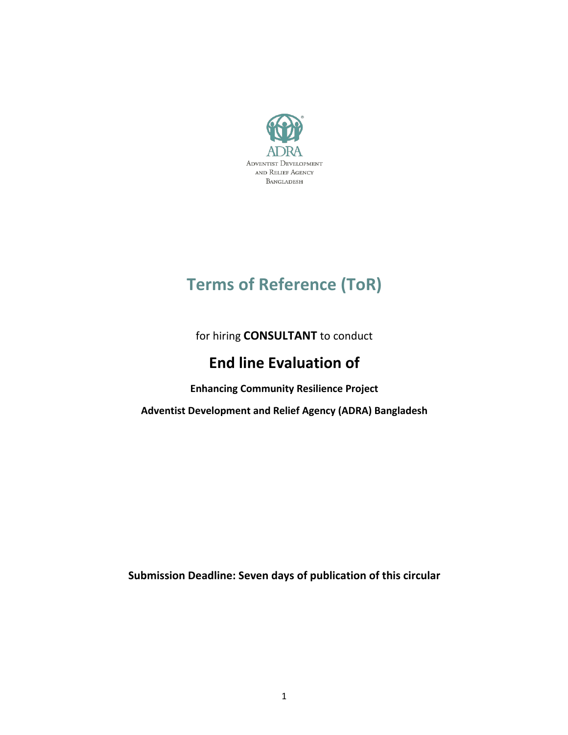

# **Terms of Reference (ToR)**

for hiring **CONSULTANT** to conduct

# **End line Evaluation of**

**Enhancing Community Resilience Project**

Adventist Development and Relief Agency (ADRA) Bangladesh

**Submission Deadline: Seven days of publication of this circular**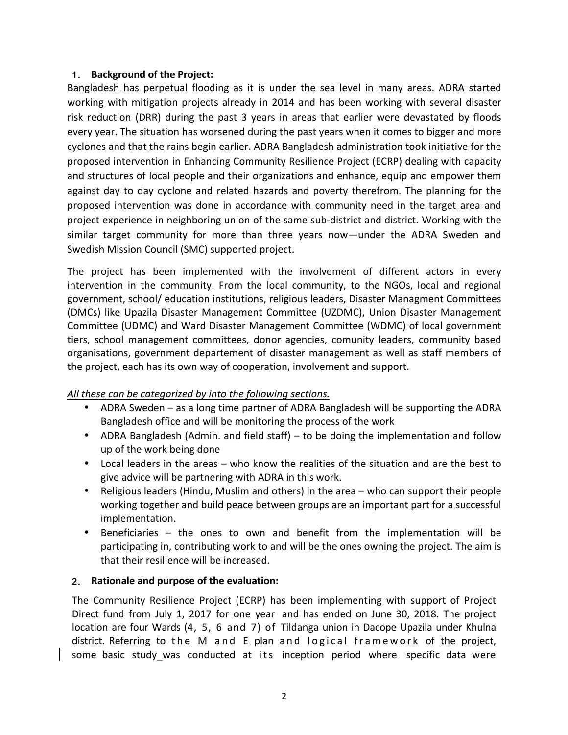#### 1. **Background of the Project:**

Bangladesh has perpetual flooding as it is under the sea level in many areas. ADRA started working with mitigation projects already in 2014 and has been working with several disaster risk reduction (DRR) during the past 3 years in areas that earlier were devastated by floods every year. The situation has worsened during the past years when it comes to bigger and more cyclones and that the rains begin earlier. ADRA Bangladesh administration took initiative for the proposed intervention in Enhancing Community Resilience Project (ECRP) dealing with capacity and structures of local people and their organizations and enhance, equip and empower them against day to day cyclone and related hazards and poverty therefrom. The planning for the proposed intervention was done in accordance with community need in the target area and project experience in neighboring union of the same sub-district and district. Working with the similar target community for more than three years now—under the ADRA Sweden and Swedish Mission Council (SMC) supported project.

The project has been implemented with the involvement of different actors in every intervention in the community. From the local community, to the NGOs, local and regional government, school/ education institutions, religious leaders, Disaster Managment Committees (DMCs) like Upazila Disaster Management Committee (UZDMC), Union Disaster Management Committee (UDMC) and Ward Disaster Management Committee (WDMC) of local government tiers, school management committees, donor agencies, comunity leaders, community based organisations, government departement of disaster management as well as staff members of the project, each has its own way of cooperation, involvement and support.

#### All these can be categorized by into the following sections.

- ADRA Sweden as a long time partner of ADRA Bangladesh will be supporting the ADRA Bangladesh office and will be monitoring the process of the work
- ADRA Bangladesh (Admin. and field staff) to be doing the implementation and follow up of the work being done
- Local leaders in the areas who know the realities of the situation and are the best to give advice will be partnering with ADRA in this work.
- Religious leaders (Hindu, Muslim and others) in the area who can support their people working together and build peace between groups are an important part for a successful implementation.
- Beneficiaries the ones to own and benefit from the implementation will be participating in, contributing work to and will be the ones owning the project. The aim is that their resilience will be increased.

#### 2. Rationale and purpose of the evaluation:

The Community Resilience Project (ECRP) has been implementing with support of Project Direct fund from July 1, 2017 for one year and has ended on June 30, 2018. The project location are four Wards (4, 5, 6 and 7) of Tildanga union in Dacope Upazila under Khulna district. Referring to the M and E plan and logical framework of the project, some basic study was conducted at its inception period where specific data were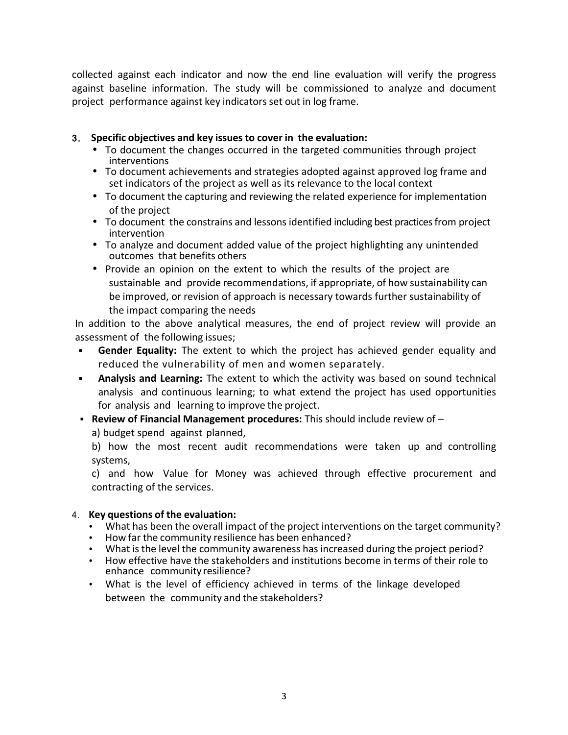collected against each indicator and now the end line evaluation will verify the progress against baseline information. The study will be commissioned to analyze and document project performance against key indicators set out in log frame.

#### 3. **Specific objectives and key issuesto cover in the evaluation:**

- To document the changes occurred in the targeted communities through project interventions
- To document achievements and strategies adopted against approved log frame and set indicators of the project as well as its relevance to the local context
- To document the capturing and reviewing the related experience for implementation of the project
- To document the constrains and lessons identified including best practices from project intervention
- To analyze and document added value of the project highlighting any unintended outcomes that benefits others
- Provide an opinion on the extent to which the results of the project are sustainable and provide recommendations, if appropriate, of how sustainability can be improved, or revision of approach is necessary towards further sustainability of the impact comparing the needs

In addition to the above analytical measures, the end of project review will provide an assessment of the following issues;

- **Gender Equality:** The extent to which the project has achieved gender equality and reduced the vulnerability of men and women separately.
- § **Analysis and Learning:** The extent to which the activity was based on sound technical analysis and continuous learning; to what extend the project has used opportunities for analysis and learning to improve the project.
- **Review of Financial Management procedures:** This should include review of –

a) budget spend against planned,

b) how the most recent audit recommendations were taken up and controlling systems,

c) and how Value for Money was achieved through effective procurement and contracting of the services.

#### 4. **Key questions of the evaluation:**

- What has been the overall impact of the project interventions on the target community?
- How far the community resilience has been enhanced?
- What is the level the community awareness has increased during the project period?
- How effective have the stakeholders and institutions become in terms of their role to enhance community resilience?
- What is the level of efficiency achieved in terms of the linkage developed between the community and the stakeholders?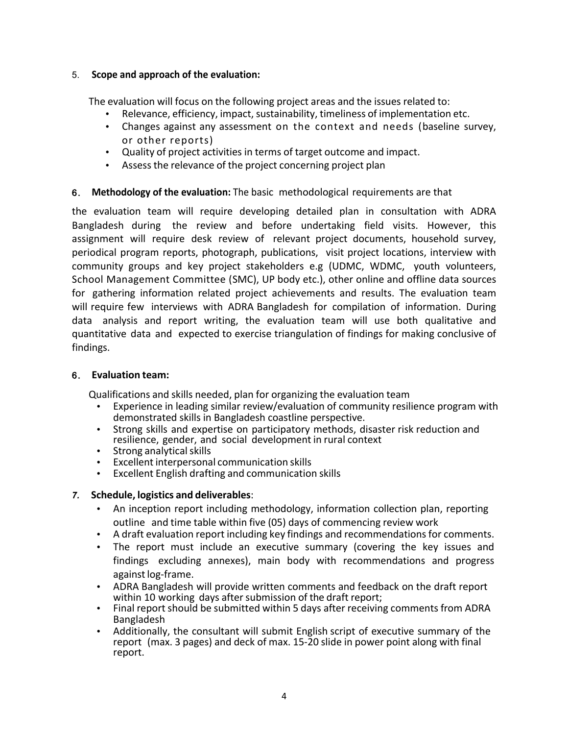#### 5. **Scope and approach of the evaluation:**

The evaluation will focus on the following project areas and the issues related to:

- Relevance, efficiency, impact, sustainability, timeliness of implementation etc.
- Changes against any assessment on the context and needs (baseline survey, or other reports)
- Quality of project activities in terms of target outcome and impact.
- Assess the relevance of the project concerning project plan

### 6. Methodology of the evaluation: The basic methodological requirements are that

the evaluation team will require developing detailed plan in consultation with ADRA Bangladesh during the review and before undertaking field visits. However, this assignment will require desk review of relevant project documents, household survey, periodical program reports, photograph, publications, visit project locations, interview with community groups and key project stakeholders e.g (UDMC, WDMC, youth volunteers, School Management Committee (SMC), UP body etc.), other online and offline data sources for gathering information related project achievements and results. The evaluation team will require few interviews with ADRA Bangladesh for compilation of information. During data analysis and report writing, the evaluation team will use both qualitative and quantitative data and expected to exercise triangulation of findings for making conclusive of findings.

#### 6. **Evaluation team:**

Qualifications and skills needed, plan for organizing the evaluation team

- Experience in leading similar review/evaluation of community resilience program with demonstrated skills in Bangladesh coastline perspective.
- Strong skills and expertise on participatory methods, disaster risk reduction and resilience, gender, and social development in rural context
- Strong analytical skills
- Excellent interpersonal communication skills
- Excellent English drafting and communication skills

#### *7.* **Schedule, logistics and deliverables**:

- An inception report including methodology, information collection plan, reporting outline and time table within five (05) days of commencing review work
- A draft evaluation report including key findings and recommendations for comments.
- The report must include an executive summary (covering the key issues and findings excluding annexes), main body with recommendations and progress against log-frame.
- ADRA Bangladesh will provide written comments and feedback on the draft report within 10 working days after submission of the draft report;
- Final report should be submitted within 5 days after receiving comments from ADRA Bangladesh
- Additionally, the consultant will submit English script of executive summary of the report (max. 3 pages) and deck of max. 15-20 slide in power point along with final report.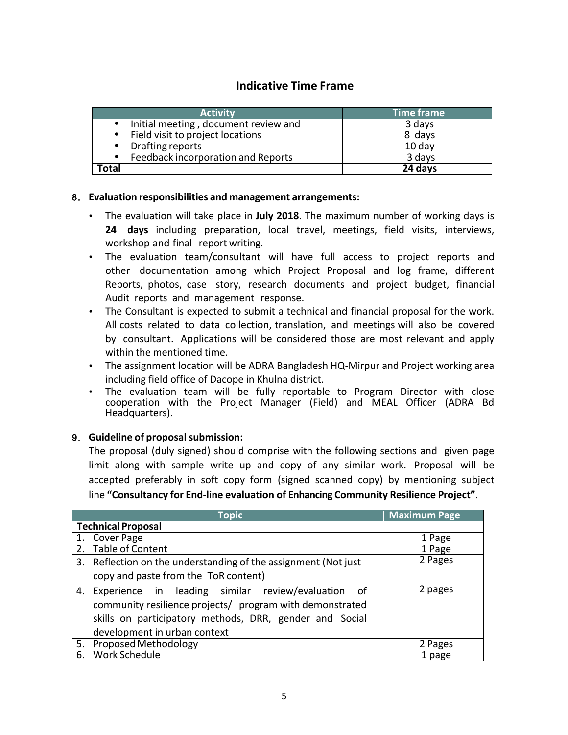# **Indicative Time Frame**

| <b>Activity</b>                                   | Time frame |
|---------------------------------------------------|------------|
| Initial meeting, document review and<br>$\bullet$ | 3 days     |
| Field visit to project locations<br>$\bullet$     | 8 days     |
| Drafting reports<br>$\bullet$                     | $10$ day   |
| Feedback incorporation and Reports<br>$\bullet$   | 3 days     |
| Total                                             | 24 days    |

#### 8. **Evaluation responsibilities and management arrangements:**

- The evaluation will take place in **July 2018**. The maximum number of working days is **24 days** including preparation, local travel, meetings, field visits, interviews, workshop and final report writing.
- The evaluation team/consultant will have full access to project reports and other documentation among which Project Proposal and log frame, different Reports, photos, case story, research documents and project budget, financial Audit reports and management response.
- The Consultant is expected to submit a technical and financial proposal for the work. All costs related to data collection, translation, and meetings will also be covered by consultant. Applications will be considered those are most relevant and apply within the mentioned time.
- The assignment location will be ADRA Bangladesh HQ-Mirpur and Project working area including field office of Dacope in Khulna district.
- The evaluation team will be fully reportable to Program Director with close cooperation with the Project Manager (Field) and MEAL Officer (ADRA Bd Headquarters).

#### 9. **Guideline of proposalsubmission:**

The proposal (duly signed) should comprise with the following sections and given page limit along with sample write up and copy of any similar work. Proposal will be accepted preferably in soft copy form (signed scanned copy) by mentioning subject line **"Consultancy for End-line evaluation of Enhancing Community Resilience Project"**.

| Topic                                                                                                                                                                                                        | <b>Maximum Page</b> |
|--------------------------------------------------------------------------------------------------------------------------------------------------------------------------------------------------------------|---------------------|
| <b>Technical Proposal</b>                                                                                                                                                                                    |                     |
| 1. Cover Page                                                                                                                                                                                                | 1 Page              |
| Table of Content                                                                                                                                                                                             | 1 Page              |
| 3. Reflection on the understanding of the assignment (Not just)                                                                                                                                              | 2 Pages             |
| copy and paste from the ToR content)                                                                                                                                                                         |                     |
| 4. Experience in leading similar review/evaluation of<br>community resilience projects/ program with demonstrated<br>skills on participatory methods, DRR, gender and Social<br>development in urban context | 2 pages             |
| 5. Proposed Methodology                                                                                                                                                                                      | 2 Pages             |
| Work Schedule<br>6.                                                                                                                                                                                          | 1 page              |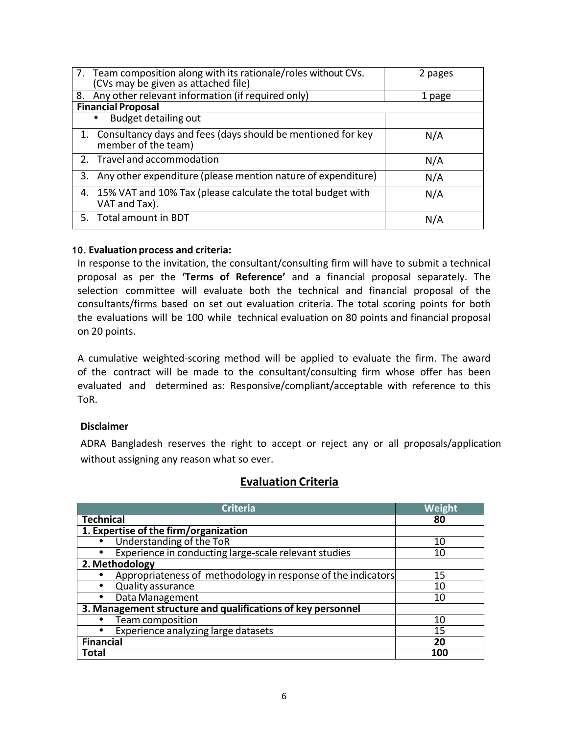| 7. Team composition along with its rationale/roles without CVs.<br>(CVs may be given as attached file) | 2 pages |  |
|--------------------------------------------------------------------------------------------------------|---------|--|
| 8. Any other relevant information (if required only)                                                   | 1 page  |  |
| <b>Financial Proposal</b>                                                                              |         |  |
| <b>Budget detailing out</b>                                                                            |         |  |
| 1. Consultancy days and fees (days should be mentioned for key<br>member of the team)                  | N/A     |  |
| 2. Travel and accommodation                                                                            | N/A     |  |
| 3. Any other expenditure (please mention nature of expenditure)                                        | N/A     |  |
| 4. 15% VAT and 10% Tax (please calculate the total budget with<br>VAT and Tax).                        | N/A     |  |
| 5. Total amount in BDT                                                                                 | N/A     |  |

#### 10. **Evaluation process and criteria:**

In response to the invitation, the consultant/consulting firm will have to submit a technical proposal as per the **'Terms of Reference'** and a financial proposal separately. The selection committee will evaluate both the technical and financial proposal of the consultants/firms based on set out evaluation criteria. The total scoring points for both the evaluations will be 100 while technical evaluation on 80 points and financial proposal on 20 points.

A cumulative weighted-scoring method will be applied to evaluate the firm. The award of the contract will be made to the consultant/consulting firm whose offer has been evaluated and determined as: Responsive/compliant/acceptable with reference to this ToR.

#### **Disclaimer**

ADRA Bangladesh reserves the right to accept or reject any or all proposals/application without assigning any reason what so ever.

| <b>Criteria</b>                                              | Weight |
|--------------------------------------------------------------|--------|
| <b>Technical</b>                                             | 80     |
| 1. Expertise of the firm/organization                        |        |
| Understanding of the ToR                                     | 10     |
| Experience in conducting large-scale relevant studies        | 10     |
| 2. Methodology                                               |        |
| Appropriateness of methodology in response of the indicators | 15     |
| <b>Quality assurance</b>                                     | 10     |
| Data Management<br>٠                                         | 10     |
| 3. Management structure and qualifications of key personnel  |        |
| Team composition                                             | 10     |
| Experience analyzing large datasets                          | 15     |
| <b>Financial</b>                                             | 20     |
| <b>Total</b>                                                 | 100    |

## **Evaluation Criteria**